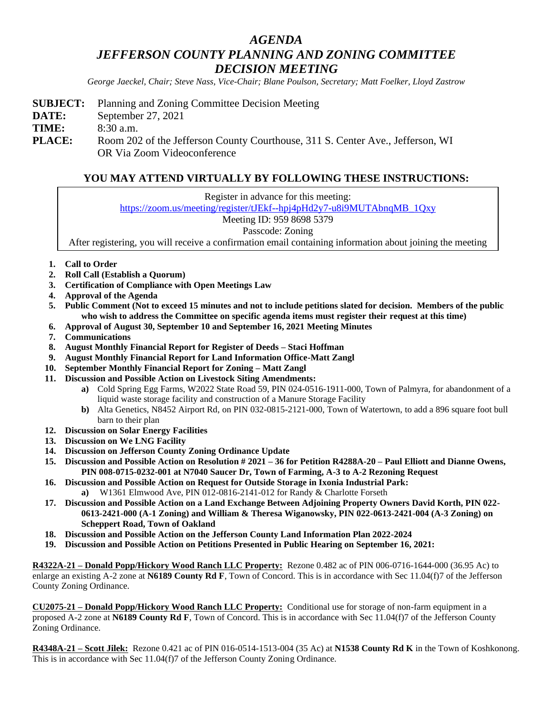## *AGENDA JEFFERSON COUNTY PLANNING AND ZONING COMMITTEE DECISION MEETING*

*George Jaeckel, Chair; Steve Nass, Vice-Chair; Blane Poulson, Secretary; Matt Foelker, Lloyd Zastrow*

**SUBJECT:** Planning and Zoning Committee Decision Meeting **DATE:** September 27, 2021 **TIME:** 8:30 a.m. **PLACE:** Room 202 of the Jefferson County Courthouse, 311 S. Center Ave., Jefferson, WI OR Via Zoom Videoconference

## **YOU MAY ATTEND VIRTUALLY BY FOLLOWING THESE INSTRUCTIONS:**

Register in advance for this meeting:

[https://zoom.us/meeting/register/tJEkf--hpj4pHd2y7-u8i9MUTAbnqMB\\_1Qxy](https://zoom.us/meeting/register/tJEkf--hpj4pHd2y7-u8i9MUTAbnqMB_1Qxy)

Meeting ID: 959 8698 5379

Passcode: Zoning

After registering, you will receive a confirmation email containing information about joining the meeting

- **1. Call to Order**
- **2. Roll Call (Establish a Quorum)**
- **3. Certification of Compliance with Open Meetings Law**
- **4. Approval of the Agenda**
- **5. Public Comment (Not to exceed 15 minutes and not to include petitions slated for decision. Members of the public who wish to address the Committee on specific agenda items must register their request at this time)**
- **6. Approval of August 30, September 10 and September 16, 2021 Meeting Minutes**
- **7. Communications**
- **8. August Monthly Financial Report for Register of Deeds – Staci Hoffman**
- **9. August Monthly Financial Report for Land Information Office-Matt Zangl**
- **10. September Monthly Financial Report for Zoning – Matt Zangl**
- **11. Discussion and Possible Action on Livestock Siting Amendments:**
	- **a)** Cold Spring Egg Farms, W2022 State Road 59, PIN 024-0516-1911-000, Town of Palmyra, for abandonment of a liquid waste storage facility and construction of a Manure Storage Facility
	- **b)** Alta Genetics, N8452 Airport Rd, on PIN 032-0815-2121-000, Town of Watertown, to add a 896 square foot bull barn to their plan
- **12. Discussion on Solar Energy Facilities**
- **13. Discussion on We LNG Facility**
- **14. Discussion on Jefferson County Zoning Ordinance Update**
- **15. Discussion and Possible Action on Resolution # 2021 – 36 for Petition R4288A-20 – Paul Elliott and Dianne Owens, PIN 008-0715-0232-001 at N7040 Saucer Dr, Town of Farming, A-3 to A-2 Rezoning Request**
- **16. Discussion and Possible Action on Request for Outside Storage in Ixonia Industrial Park: a)** W1361 Elmwood Ave, PIN 012-0816-2141-012 for Randy & Charlotte Forseth
- **17. Discussion and Possible Action on a Land Exchange Between Adjoining Property Owners David Korth, PIN 022- 0613-2421-000 (A-1 Zoning) and William & Theresa Wiganowsky, PIN 022-0613-2421-004 (A-3 Zoning) on Scheppert Road, Town of Oakland**
- **18. Discussion and Possible Action on the Jefferson County Land Information Plan 2022-2024**
- **19. Discussion and Possible Action on Petitions Presented in Public Hearing on September 16, 2021:**

**R4322A-21 – Donald Popp/Hickory Wood Ranch LLC Property:** Rezone 0.482 ac of PIN 006-0716-1644-000 (36.95 Ac) to enlarge an existing A-2 zone at **N6189 County Rd F**, Town of Concord. This is in accordance with Sec 11.04(f)7 of the Jefferson County Zoning Ordinance.

**CU2075-21 – Donald Popp/Hickory Wood Ranch LLC Property:** Conditional use for storage of non-farm equipment in a proposed A-2 zone at **N6189 County Rd F**, Town of Concord. This is in accordance with Sec 11.04(f)7 of the Jefferson County Zoning Ordinance.

**R4348A-21 – Scott Jilek:** Rezone 0.421 ac of PIN 016-0514-1513-004 (35 Ac) at **N1538 County Rd K** in the Town of Koshkonong. This is in accordance with Sec 11.04(f)7 of the Jefferson County Zoning Ordinance.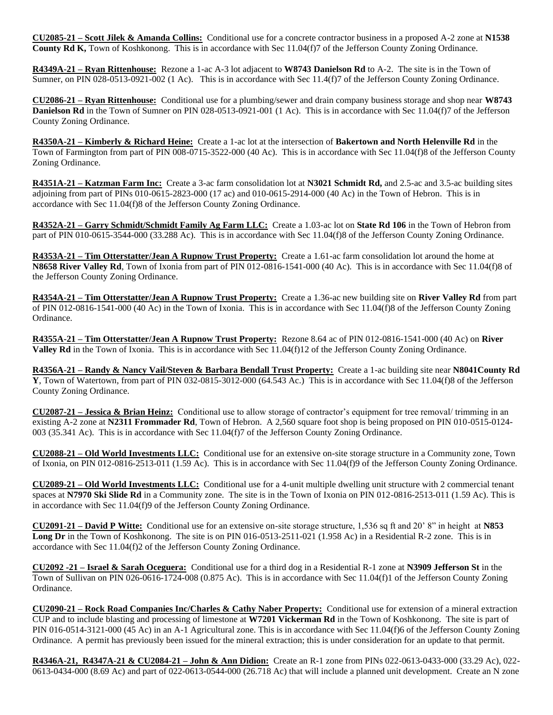**CU2085-21 – Scott Jilek & Amanda Collins:** Conditional use for a concrete contractor business in a proposed A-2 zone at **N1538 County Rd K,** Town of Koshkonong. This is in accordance with Sec 11.04(f)7 of the Jefferson County Zoning Ordinance.

**R4349A-21 – Ryan Rittenhouse:** Rezone a 1-ac A-3 lot adjacent to **W8743 Danielson Rd** to A-2. The site is in the Town of Sumner, on PIN 028-0513-0921-002 (1 Ac). This is in accordance with Sec 11.4(f)7 of the Jefferson County Zoning Ordinance.

**CU2086-21 – Ryan Rittenhouse:** Conditional use for a plumbing/sewer and drain company business storage and shop near **W8743 Danielson Rd** in the Town of Sumner on PIN 028-0513-0921-001 (1 Ac). This is in accordance with Sec 11.04(f)7 of the Jefferson County Zoning Ordinance.

**R4350A-21 – Kimberly & Richard Heine:** Create a 1-ac lot at the intersection of **Bakertown and North Helenville Rd** in the Town of Farmington from part of PIN 008-0715-3522-000 (40 Ac). This is in accordance with Sec 11.04(f)8 of the Jefferson County Zoning Ordinance.

**R4351A-21 – Katzman Farm Inc:** Create a 3-ac farm consolidation lot at **N3021 Schmidt Rd,** and 2.5-ac and 3.5-ac building sites adjoining from part of PINs 010-0615-2823-000 (17 ac) and 010-0615-2914-000 (40 Ac) in the Town of Hebron. This is in accordance with Sec 11.04(f)8 of the Jefferson County Zoning Ordinance.

**R4352A-21 – Garry Schmidt/Schmidt Family Ag Farm LLC:** Create a 1.03-ac lot on **State Rd 106** in the Town of Hebron from part of PIN 010-0615-3544-000 (33.288 Ac). This is in accordance with Sec 11.04(f)8 of the Jefferson County Zoning Ordinance.

**R4353A-21 – Tim Otterstatter/Jean A Rupnow Trust Property:** Create a 1.61-ac farm consolidation lot around the home at **N8658 River Valley Rd**, Town of Ixonia from part of PIN 012-0816-1541-000 (40 Ac). This is in accordance with Sec 11.04(f)8 of the Jefferson County Zoning Ordinance.

**R4354A-21 – Tim Otterstatter/Jean A Rupnow Trust Property:** Create a 1.36-ac new building site on **River Valley Rd** from part of PIN 012-0816-1541-000 (40 Ac) in the Town of Ixonia. This is in accordance with Sec 11.04(f)8 of the Jefferson County Zoning Ordinance.

**R4355A-21 – Tim Otterstatter/Jean A Rupnow Trust Property:** Rezone 8.64 ac of PIN 012-0816-1541-000 (40 Ac) on **River Valley Rd** in the Town of Ixonia. This is in accordance with Sec 11.04(f)12 of the Jefferson County Zoning Ordinance.

**R4356A-21 – Randy & Nancy Vail/Steven & Barbara Bendall Trust Property:** Create a 1-ac building site near **N8041County Rd Y**, Town of Watertown, from part of PIN 032-0815-3012-000 (64.543 Ac.) This is in accordance with Sec 11.04(f)8 of the Jefferson County Zoning Ordinance.

**CU2087-21 – Jessica & Brian Heinz:** Conditional use to allow storage of contractor's equipment for tree removal/ trimming in an existing A-2 zone at **N2311 Frommader Rd**, Town of Hebron. A 2,560 square foot shop is being proposed on PIN 010-0515-0124- 003 (35.341 Ac). This is in accordance with Sec 11.04(f)7 of the Jefferson County Zoning Ordinance.

**CU2088-21 – Old World Investments LLC:** Conditional use for an extensive on-site storage structure in a Community zone, Town of Ixonia, on PIN 012-0816-2513-011 (1.59 Ac). This is in accordance with Sec 11.04(f)9 of the Jefferson County Zoning Ordinance.

**CU2089-21 – Old World Investments LLC:** Conditional use for a 4-unit multiple dwelling unit structure with 2 commercial tenant spaces at **N7970 Ski Slide Rd** in a Community zone. The site is in the Town of Ixonia on PIN 012-0816-2513-011 (1.59 Ac). This is in accordance with Sec 11.04(f)9 of the Jefferson County Zoning Ordinance.

**CU2091-21 – David P Witte:** Conditional use for an extensive on-site storage structure, 1,536 sq ft and 20' 8" in height at **N853 Long Dr** in the Town of Koshkonong. The site is on PIN 016-0513-2511-021 (1.958 Ac) in a Residential R-2 zone. This is in accordance with Sec 11.04(f)2 of the Jefferson County Zoning Ordinance.

**CU2092 -21 – Israel & Sarah Oceguera:** Conditional use for a third dog in a Residential R-1 zone at **N3909 Jefferson St** in the Town of Sullivan on PIN 026-0616-1724-008 (0.875 Ac). This is in accordance with Sec 11.04(f)1 of the Jefferson County Zoning Ordinance.

**CU2090-21 – Rock Road Companies Inc/Charles & Cathy Naber Property:** Conditional use for extension of a mineral extraction CUP and to include blasting and processing of limestone at **W7201 Vickerman Rd** in the Town of Koshkonong. The site is part of PIN 016-0514-3121-000 (45 Ac) in an A-1 Agricultural zone. This is in accordance with Sec 11.04(f)6 of the Jefferson County Zoning Ordinance. A permit has previously been issued for the mineral extraction; this is under consideration for an update to that permit.

**R4346A-21, R4347A-21 & CU2084-21 – John & Ann Didion:** Create an R-1 zone from PINs 022-0613-0433-000 (33.29 Ac), 022- 0613-0434-000 (8.69 Ac) and part of 022-0613-0544-000 (26.718 Ac) that will include a planned unit development. Create an N zone